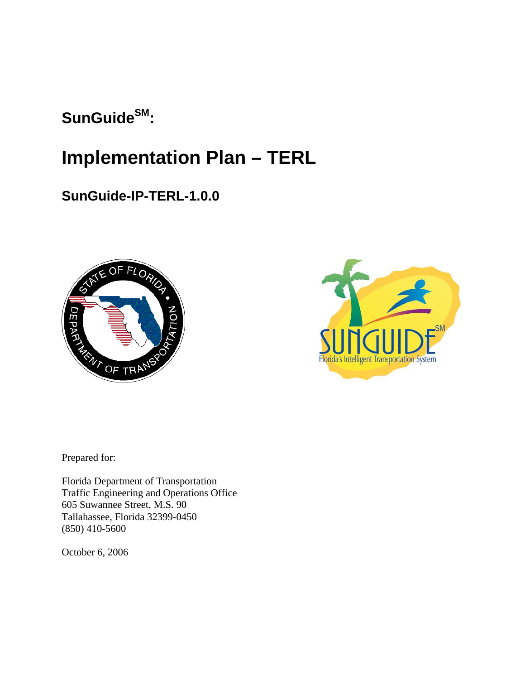# SunGuide<sup>SM</sup>:

# **Implementation Plan – TERL**

# **SunGuide-IP-TERL-1.0.0**





Prepared for:

Florida Department of Transportation Traffic Engineering and Operations Office 605 Suwannee Street, M.S. 90 Tallahassee, Florida 32399-0450 (850) 410-5600

October 6, 2006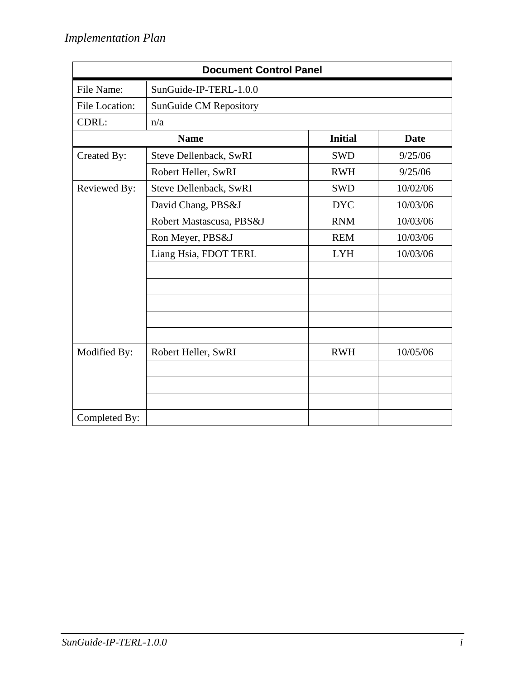| <b>Document Control Panel</b> |                          |                |          |
|-------------------------------|--------------------------|----------------|----------|
| File Name:                    | SunGuide-IP-TERL-1.0.0   |                |          |
| File Location:                | SunGuide CM Repository   |                |          |
| CDRL:                         | n/a                      |                |          |
|                               | <b>Name</b>              | <b>Initial</b> | Date     |
| Created By:                   | Steve Dellenback, SwRI   | <b>SWD</b>     | 9/25/06  |
|                               | Robert Heller, SwRI      | <b>RWH</b>     | 9/25/06  |
| Reviewed By:                  | Steve Dellenback, SwRI   | <b>SWD</b>     | 10/02/06 |
|                               | David Chang, PBS&J       | <b>DYC</b>     | 10/03/06 |
|                               | Robert Mastascusa, PBS&J | <b>RNM</b>     | 10/03/06 |
|                               | Ron Meyer, PBS&J         | <b>REM</b>     | 10/03/06 |
|                               | Liang Hsia, FDOT TERL    | <b>LYH</b>     | 10/03/06 |
|                               |                          |                |          |
|                               |                          |                |          |
|                               |                          |                |          |
|                               |                          |                |          |
|                               |                          |                |          |
| Modified By:                  | Robert Heller, SwRI      | <b>RWH</b>     | 10/05/06 |
|                               |                          |                |          |
|                               |                          |                |          |
|                               |                          |                |          |
| Completed By:                 |                          |                |          |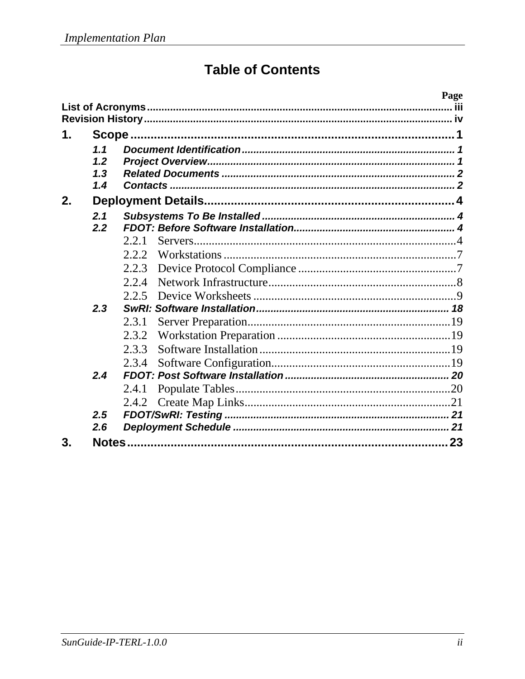# **Table of Contents**

| 1.    |  |
|-------|--|
| 1.1   |  |
| 1.2   |  |
| 1.3   |  |
| 1.4   |  |
| 2.    |  |
| 2.1   |  |
| 2.2   |  |
| 2.2.1 |  |
| 2.2.2 |  |
| 2.2.3 |  |
| 2.2.4 |  |
| 2.2.5 |  |
| 2.3   |  |
| 2.3.1 |  |
| 2.3.2 |  |
| 2.3.3 |  |
| 2.3.4 |  |
| 2.4   |  |
| 2.4.1 |  |
| 2.4.2 |  |
| 2.5   |  |
| 2.6   |  |
| 3.    |  |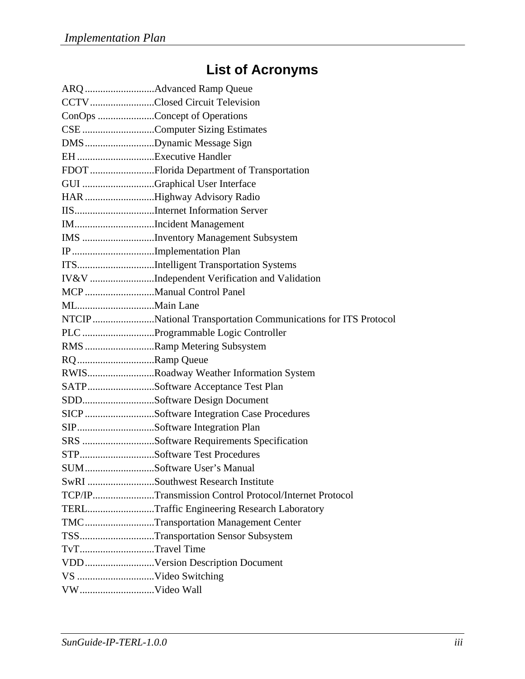# **List of Acronyms**

|                      | CCTV Closed Circuit Television                                |
|----------------------|---------------------------------------------------------------|
|                      | ConOps Concept of Operations                                  |
|                      | CSE Computer Sizing Estimates                                 |
|                      | DMSDynamic Message Sign                                       |
| EH Executive Handler |                                                               |
|                      | FDOT Florida Department of Transportation                     |
|                      | GUI Graphical User Interface                                  |
|                      | HAR Highway Advisory Radio                                    |
|                      | IISInternet Information Server                                |
|                      | IMIncident Management                                         |
|                      | IMS Inventory Management Subsystem                            |
|                      | IP Implementation Plan                                        |
|                      | ITSIntelligent Transportation Systems                         |
|                      | IV&V Independent Verification and Validation                  |
|                      |                                                               |
|                      |                                                               |
|                      | NTCIP National Transportation Communications for ITS Protocol |
|                      | PLC Programmable Logic Controller                             |
|                      | RMS Ramp Metering Subsystem                                   |
| RQ Ramp Queue        |                                                               |
|                      | RWISRoadway Weather Information System                        |
|                      | SATPSoftware Acceptance Test Plan                             |
|                      | SDDSoftware Design Document                                   |
|                      | SICP Software Integration Case Procedures                     |
|                      | SIPSoftware Integration Plan                                  |
|                      | SRS Software Requirements Specification                       |
|                      | STPSoftware Test Procedures                                   |
|                      | SUMSoftware User's Manual                                     |
|                      | SwRI Southwest Research Institute                             |
|                      | TCP/IPTransmission Control Protocol/Internet Protocol         |
|                      | TERLTraffic Engineering Research Laboratory                   |
|                      | TMCTransportation Management Center                           |
|                      | TSSTransportation Sensor Subsystem                            |
| TvTTravel Time       |                                                               |
|                      |                                                               |
| VS Video Switching   |                                                               |
|                      |                                                               |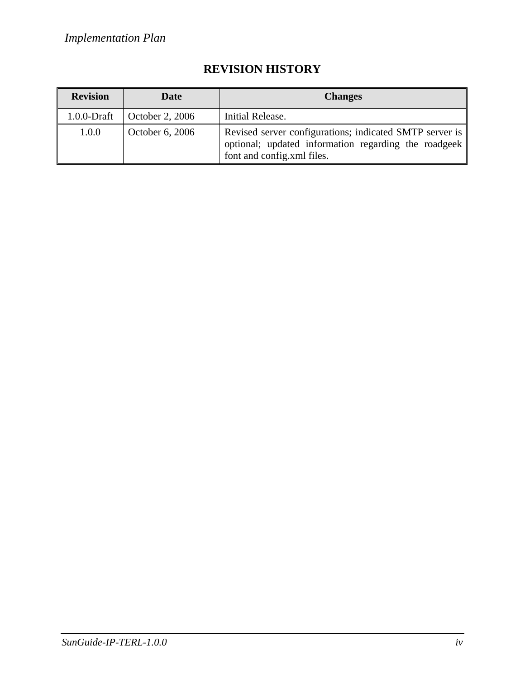| <b>Revision</b> | <b>Date</b>     | <b>Changes</b>                                                                                                                                |
|-----------------|-----------------|-----------------------------------------------------------------------------------------------------------------------------------------------|
| $1.0.0$ -Draft  | October 2, 2006 | Initial Release.                                                                                                                              |
| 1.0.0           | October 6, 2006 | Revised server configurations; indicated SMTP server is<br>optional; updated information regarding the roadgeek<br>font and config.xml files. |

# **REVISION HISTORY**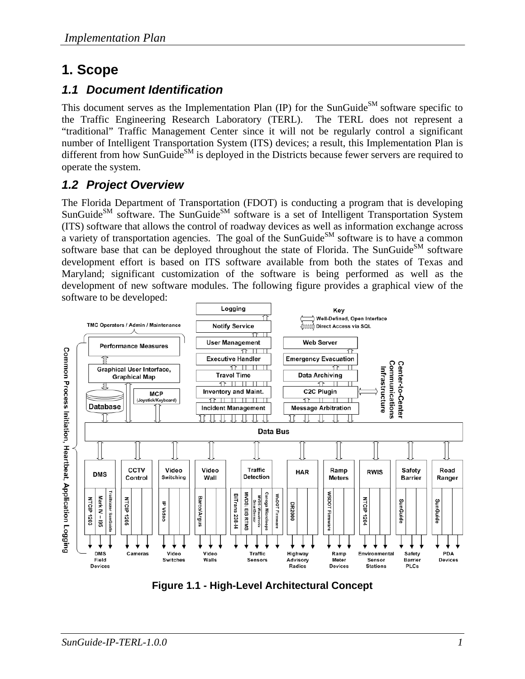# **1. Scope**

# *1.1 Document Identification*

This document serves as the Implementation Plan (IP) for the SunGuide<sup>SM</sup> software specific to the Traffic Engineering Research Laboratory (TERL). The TERL does not represent a "traditional" Traffic Management Center since it will not be regularly control a significant number of Intelligent Transportation System (ITS) devices; a result, this Implementation Plan is different from how SunGuide<sup>SM</sup> is deployed in the Districts because fewer servers are required to operate the system.

# *1.2 Project Overview*

The Florida Department of Transportation (FDOT) is conducting a program that is developing SunGuide<sup>SM</sup> software. The SunGuide<sup>SM</sup> software is a set of Intelligent Transportation System (ITS) software that allows the control of roadway devices as well as information exchange across a variety of transportation agencies. The goal of the SunGuide<sup>SM</sup> software is to have a common software base that can be deployed throughout the state of Florida. The SunGuide<sup>SM</sup> software development effort is based on ITS software available from both the states of Texas and Maryland; significant customization of the software is being performed as well as the development of new software modules. The following figure provides a graphical view of the software to be developed:



**Figure 1.1 - High-Level Architectural Concept**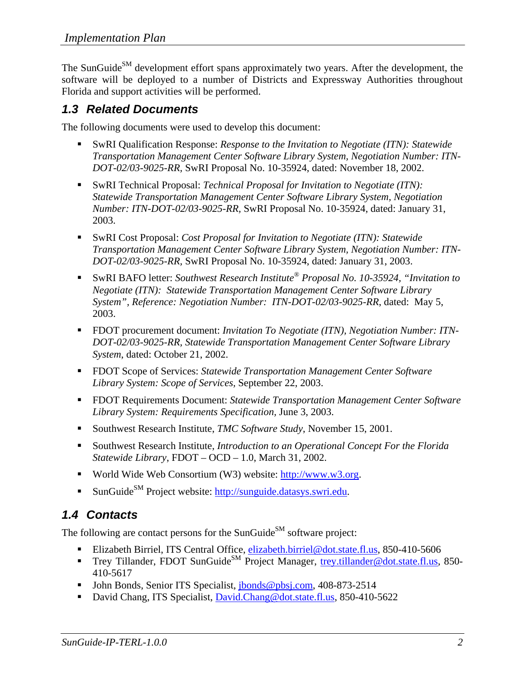The SunGuide<sup>SM</sup> development effort spans approximately two years. After the development, the software will be deployed to a number of Districts and Expressway Authorities throughout Florida and support activities will be performed.

# *1.3 Related Documents*

The following documents were used to develop this document:

- SwRI Qualification Response: *Response to the Invitation to Negotiate (ITN): Statewide Transportation Management Center Software Library System, Negotiation Number: ITN-DOT-02/03-9025-RR,* SwRI Proposal No. 10-35924, dated: November 18, 2002.
- SwRI Technical Proposal: *Technical Proposal for Invitation to Negotiate (ITN)*: *Statewide Transportation Management Center Software Library System, Negotiation Number: ITN-DOT-02/03-9025-RR,* SwRI Proposal No. 10-35924, dated: January 31, 2003.
- SwRI Cost Proposal: *Cost Proposal for Invitation to Negotiate (ITN): Statewide Transportation Management Center Software Library System, Negotiation Number: ITN-DOT-02/03-9025-RR,* SwRI Proposal No. 10-35924, dated: January 31, 2003.
- SwRI BAFO letter: *Southwest Research Institute® Proposal No. 10-35924, "Invitation to Negotiate (ITN): Statewide Transportation Management Center Software Library System", Reference: Negotiation Number: ITN-DOT-02/03-9025-RR*, dated: May 5, 2003.
- FDOT procurement document: *Invitation To Negotiate (ITN)*, *Negotiation Number: ITN DOT-02/03-9025-RR, Statewide Transportation Management Center Software Library System*, dated: October 21, 2002.
- FDOT Scope of Services: *Statewide Transportation Management Center Software Library System: Scope of Services,* September 22, 2003.
- FDOT Requirements Document: *Statewide Transportation Management Center Software Library System: Requirements Specification,* June 3, 2003.
- Southwest Research Institute, *TMC Software Study*, November 15, 2001.
- Southwest Research Institute, *Introduction to an Operational Concept For the Florida Statewide Library*, FDOT – OCD – 1.0, March 31, 2002.
- World Wide Web Consortium (W3) website: http://www.w3.org.
- SunGuide<sup>SM</sup> Project website: http://sunguide.datasys.swri.edu.

# *1.4 Contacts*

The following are contact persons for the SunGuide<sup>SM</sup> software project:

- Elizabeth Birriel, ITS Central Office, **elizabeth.birriel@dot.state.fl.us**, 850-410-5606
- Trey Tillander, FDOT SunGuide<sup>SM</sup> Project Manager, trey.tillander@dot.state.fl.us, 850-410-5617
- John Bonds, Senior ITS Specialist, jbonds@pbsj.com, 408-873-2514
- David Chang, ITS Specialist, David.Chang@dot.state.fl.us, 850-410-5622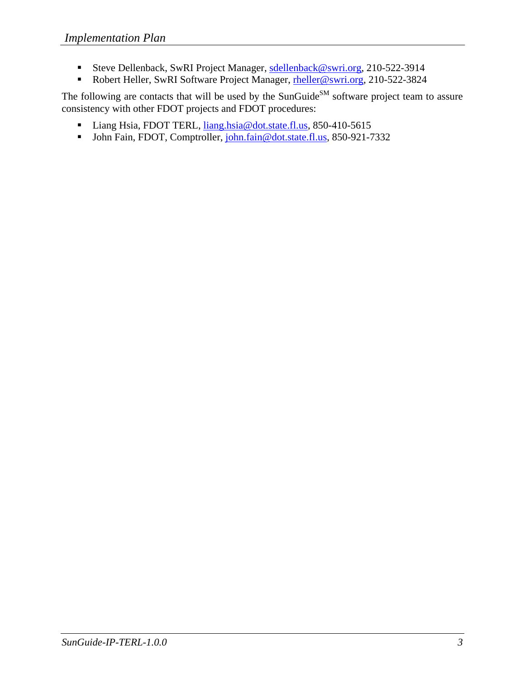- Steve Dellenback, SwRI Project Manager, sdellenback@swri.org, 210-522-3914
- Robert Heller, SwRI Software Project Manager, rheller@swri.org, 210-522-3824

The following are contacts that will be used by the SunGuide<sup>SM</sup> software project team to assure consistency with other FDOT projects and FDOT procedures:

- Liang Hsia, FDOT TERL, liang.hsia@dot.state.fl.us, 850-410-5615
- John Fain, FDOT, Comptroller, john.fain@dot.state.fl.us, 850-921-7332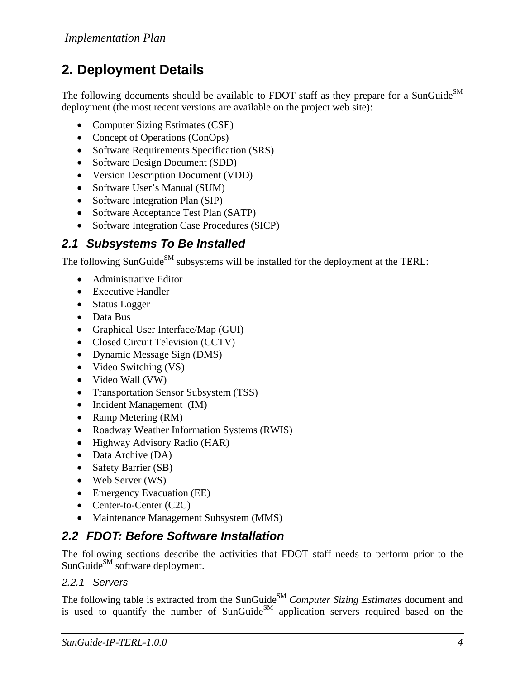# **2. Deployment Details**

The following documents should be available to FDOT staff as they prepare for a SunGuide<sup>SM</sup> deployment (the most recent versions are available on the project web site):

- Computer Sizing Estimates (CSE)
- Concept of Operations (ConOps)
- Software Requirements Specification (SRS)
- Software Design Document (SDD)
- Version Description Document (VDD)
- Software User's Manual (SUM)
- Software Integration Plan (SIP)
- Software Acceptance Test Plan (SATP)
- Software Integration Case Procedures (SICP)

# *2.1 Subsystems To Be Installed*

The following SunGuide<sup>SM</sup> subsystems will be installed for the deployment at the TERL:

- Administrative Editor
- Executive Handler
- Status Logger
- Data Bus
- Graphical User Interface/Map (GUI)
- Closed Circuit Television (CCTV)
- Dynamic Message Sign (DMS)
- Video Switching (VS)
- Video Wall (VW)
- Transportation Sensor Subsystem (TSS)
- Incident Management (IM)
- Ramp Metering (RM)
- Roadway Weather Information Systems (RWIS)
- Highway Advisory Radio (HAR)
- Data Archive (DA)
- Safety Barrier (SB)
- Web Server (WS)
- Emergency Evacuation (EE)
- Center-to-Center (C2C)
- Maintenance Management Subsystem (MMS)

# *2.2 FDOT: Before Software Installation*

The following sections describe the activities that FDOT staff needs to perform prior to the SunGuide<sup>SM</sup> software deployment.

### *2.2.1 Servers*

The following table is extracted from the SunGuide<sup>SM</sup> *Computer Sizing Estimates* document and is used to quantify the number of SunGuide $^{SM}$  application servers required based on the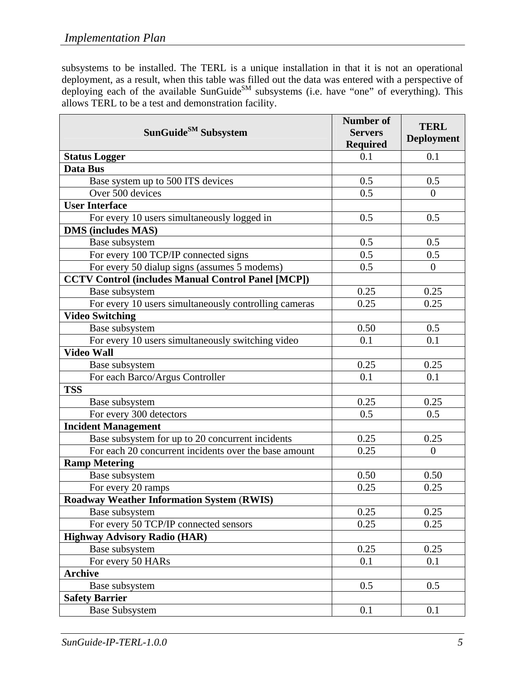subsystems to be installed. The TERL is a unique installation in that it is not an operational deployment, as a result, when this table was filled out the data was entered with a perspective of deploying each of the available SunGuide<sup>SM</sup> subsystems (i.e. have "one" of everything). This allows TERL to be a test and demonstration facility.

| SunGuide <sup>SM</sup> Subsystem                          | <b>Number of</b><br><b>Servers</b><br><b>Required</b> | <b>TERL</b><br><b>Deployment</b> |
|-----------------------------------------------------------|-------------------------------------------------------|----------------------------------|
| <b>Status Logger</b>                                      | 0.1                                                   | 0.1                              |
| <b>Data Bus</b>                                           |                                                       |                                  |
| Base system up to 500 ITS devices                         | 0.5                                                   | 0.5                              |
| Over 500 devices                                          | 0.5                                                   | $\overline{0}$                   |
| <b>User Interface</b>                                     |                                                       |                                  |
| For every 10 users simultaneously logged in               | 0.5                                                   | 0.5                              |
| <b>DMS</b> (includes MAS)                                 |                                                       |                                  |
| Base subsystem                                            | 0.5                                                   | 0.5                              |
| For every 100 TCP/IP connected signs                      | 0.5                                                   | 0.5                              |
| For every 50 dialup signs (assumes 5 modems)              | 0.5                                                   | $\overline{0}$                   |
| <b>CCTV Control (includes Manual Control Panel [MCP])</b> |                                                       |                                  |
| Base subsystem                                            | 0.25                                                  | 0.25                             |
| For every 10 users simultaneously controlling cameras     | 0.25                                                  | 0.25                             |
| <b>Video Switching</b>                                    |                                                       |                                  |
| Base subsystem                                            | 0.50                                                  | 0.5                              |
| For every 10 users simultaneously switching video         | 0.1                                                   | 0.1                              |
| <b>Video Wall</b>                                         |                                                       |                                  |
| Base subsystem                                            | 0.25                                                  | 0.25                             |
| For each Barco/Argus Controller                           | 0.1                                                   | 0.1                              |
| <b>TSS</b>                                                |                                                       |                                  |
| Base subsystem                                            | 0.25                                                  | 0.25                             |
| For every 300 detectors                                   | 0.5                                                   | 0.5                              |
| <b>Incident Management</b>                                |                                                       |                                  |
| Base subsystem for up to 20 concurrent incidents          | 0.25                                                  | 0.25                             |
| For each 20 concurrent incidents over the base amount     | 0.25                                                  | $\Omega$                         |
| <b>Ramp Metering</b>                                      |                                                       |                                  |
| Base subsystem                                            | 0.50                                                  | 0.50                             |
| For every 20 ramps                                        | 0.25                                                  | 0.25                             |
| <b>Roadway Weather Information System (RWIS)</b>          |                                                       |                                  |
| Base subsystem                                            | 0.25                                                  | 0.25                             |
| For every 50 TCP/IP connected sensors                     | 0.25                                                  | 0.25                             |
| <b>Highway Advisory Radio (HAR)</b>                       |                                                       |                                  |
| Base subsystem                                            | 0.25                                                  | 0.25                             |
| For every 50 HARs                                         | 0.1                                                   | 0.1                              |
| <b>Archive</b>                                            |                                                       |                                  |
| Base subsystem                                            | 0.5                                                   | 0.5                              |
| <b>Safety Barrier</b>                                     |                                                       |                                  |
| <b>Base Subsystem</b>                                     | 0.1                                                   | 0.1                              |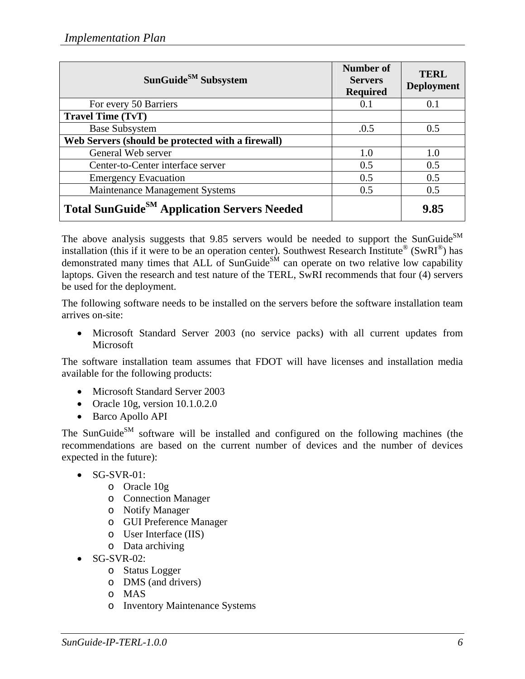| SunGuide $^{SM}$ Subsystem                              | Number of<br><b>Servers</b><br><b>Required</b> | <b>TERL</b><br><b>Deployment</b> |
|---------------------------------------------------------|------------------------------------------------|----------------------------------|
| For every 50 Barriers                                   | 0.1                                            | 0.1                              |
| <b>Travel Time (TvT)</b>                                |                                                |                                  |
| <b>Base Subsystem</b>                                   | .0.5                                           | 0.5                              |
| Web Servers (should be protected with a firewall)       |                                                |                                  |
| General Web server                                      | 1.0                                            | 1.0                              |
| Center-to-Center interface server                       | 0.5                                            | 0.5                              |
| <b>Emergency Evacuation</b>                             | 0.5                                            | 0.5                              |
| Maintenance Management Systems                          | 0.5                                            | 0.5                              |
| Total SunGuide <sup>SM</sup> Application Servers Needed |                                                | 9.85                             |

The above analysis suggests that 9.85 servers would be needed to support the SunGuide $^{SM}$ installation (this if it were to be an operation center). Southwest Research Institute<sup>®</sup> (SwRI<sup>®</sup>) has demonstrated many times that  $ALL$  of SunGuide<sup>SM</sup> can operate on two relative low capability laptops. Given the research and test nature of the TERL, SwRI recommends that four (4) servers be used for the deployment.

The following software needs to be installed on the servers before the software installation team arrives on-site:

• Microsoft Standard Server 2003 (no service packs) with all current updates from Microsoft

The software installation team assumes that FDOT will have licenses and installation media available for the following products:

- Microsoft Standard Server 2003
- Oracle 10g, version 10.1.0.2.0
- Barco Apollo API

The SunGuide<sup>SM</sup> software will be installed and configured on the following machines (the recommendations are based on the current number of devices and the number of devices expected in the future):

- $\bullet$  SG-SVR-01:
	- o Oracle 10g
	- o Connection Manager
	- o Notify Manager
	- o GUI Preference Manager
	- o User Interface (IIS)
	- o Data archiving
- $\bullet$  SG-SVR-02:
	- o Status Logger
	- o DMS (and drivers)
	- o MAS
	- o Inventory Maintenance Systems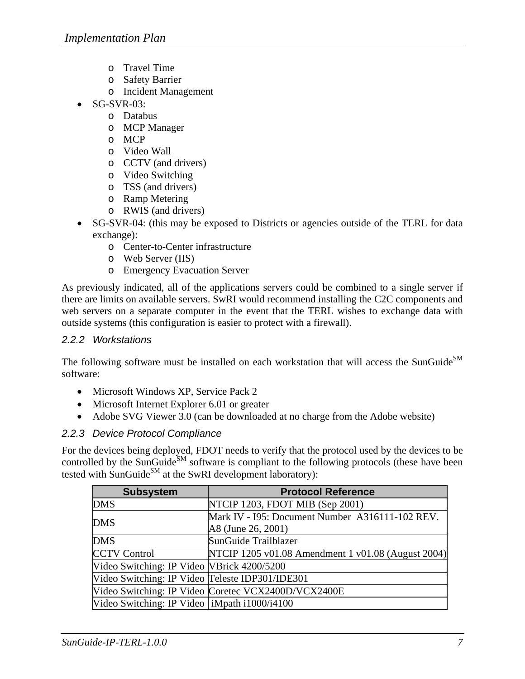- o Travel Time
- o Safety Barrier
- o Incident Management
- SG-SVR-03:
	- o Databus
	- o MCP Manager
	- o MCP
	- o Video Wall
	- o CCTV (and drivers)
	- o Video Switching
	- o TSS (and drivers)
	- o Ramp Metering
	- o RWIS (and drivers)
- SG-SVR-04: (this may be exposed to Districts or agencies outside of the TERL for data exchange):
	- o Center-to-Center infrastructure
	- o Web Server (IIS)
	- o Emergency Evacuation Server

As previously indicated, all of the applications servers could be combined to a single server if there are limits on available servers. SwRI would recommend installing the C2C components and web servers on a separate computer in the event that the TERL wishes to exchange data with outside systems (this configuration is easier to protect with a firewall).

#### *2.2.2 Workstations*

The following software must be installed on each workstation that will access the SunGuide<sup>SM</sup> software:

- Microsoft Windows XP, Service Pack 2
- Microsoft Internet Explorer 6.01 or greater
- Adobe SVG Viewer 3.0 (can be downloaded at no charge from the Adobe website)

### *2.2.3 Device Protocol Compliance*

For the devices being deployed, FDOT needs to verify that the protocol used by the devices to be controlled by the SunGuide<sup>SM</sup> software is compliant to the following protocols (these have been tested with SunGuide<sup>SM</sup> at the SwRI development laboratory):

| <b>Subsystem</b>                                | <b>Protocol Reference</b>                           |
|-------------------------------------------------|-----------------------------------------------------|
| <b>DMS</b>                                      | NTCIP 1203, FDOT MIB (Sep 2001)                     |
| <b>DMS</b>                                      | Mark IV - 195: Document Number A316111-102 REV.     |
|                                                 | A8 (June 26, 2001)                                  |
| <b>DMS</b>                                      | SunGuide Trailblazer                                |
| <b>CCTV Control</b>                             | NTCIP 1205 v01.08 Amendment 1 v01.08 (August 2004)  |
| Video Switching: IP Video VBrick 4200/5200      |                                                     |
| Video Switching: IP Video Teleste IDP301/IDE301 |                                                     |
|                                                 | Video Switching: IP Video Coretec VCX2400D/VCX2400E |
| Video Switching: IP Video   iMpath i1000/i4100  |                                                     |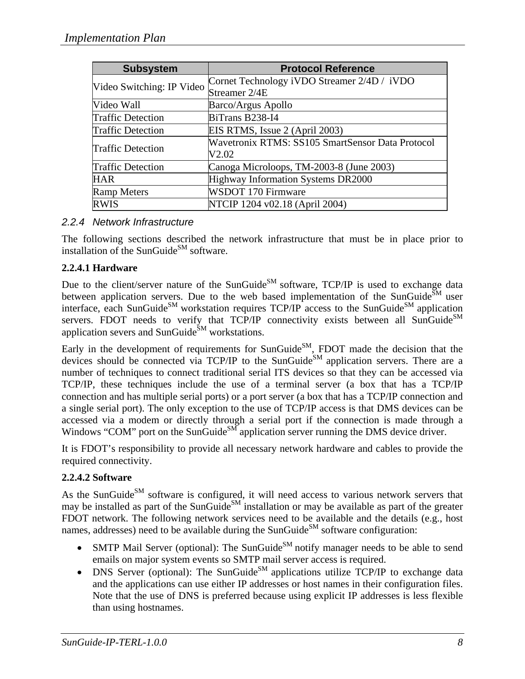| <b>Subsystem</b>          | <b>Protocol Reference</b>                        |
|---------------------------|--------------------------------------------------|
| Video Switching: IP Video | Cornet Technology iVDO Streamer 2/4D / iVDO      |
|                           | Streamer 2/4E                                    |
| Video Wall                | <b>Barco/Argus Apollo</b>                        |
| <b>Traffic Detection</b>  | BiTrans B238-I4                                  |
| <b>Traffic Detection</b>  | EIS RTMS, Issue 2 (April 2003)                   |
|                           | Wavetronix RTMS: SS105 SmartSensor Data Protocol |
| <b>Traffic Detection</b>  | V2.02                                            |
| <b>Traffic Detection</b>  | Canoga Microloops, TM-2003-8 (June 2003)         |
| <b>HAR</b>                | Highway Information Systems DR2000               |
| <b>Ramp Meters</b>        | WSDOT 170 Firmware                               |
| <b>RWIS</b>               | NTCIP 1204 v02.18 (April 2004)                   |

### *2.2.4 Network Infrastructure*

The following sections described the network infrastructure that must be in place prior to installation of the SunGuide $^{SM}$  software.

## **2.2.4.1 Hardware**

Due to the client/server nature of the SunGuide<sup>SM</sup> software, TCP/IP is used to exchange data between application servers. Due to the web based implementation of the SunGuide $\tilde{S}^{M}$  user interface, each SunGuide<sup>SM</sup> workstation requires  $TCP/IP$  access to the SunGuide<sup>SM</sup> application servers. FDOT needs to verify that  $TCP/IP$  connectivity exists between all SunGuide<sup>SM</sup> application severs and  $SunGuide<sup>SM</sup> workstations.$ 

Early in the development of requirements for SunGuide $^{SM}$ , FDOT made the decision that the devices should be connected via TCP/IP to the SunGuide<sup>SM</sup> application servers. There are a number of techniques to connect traditional serial ITS devices so that they can be accessed via TCP/IP, these techniques include the use of a terminal server (a box that has a TCP/IP connection and has multiple serial ports) or a port server (a box that has a TCP/IP connection and a single serial port). The only exception to the use of TCP/IP access is that DMS devices can be accessed via a modem or directly through a serial port if the connection is made through a Windows "COM" port on the SunGuide<sup>SM</sup> application server running the DMS device driver.

It is FDOT's responsibility to provide all necessary network hardware and cables to provide the required connectivity.

### **2.2.4.2 Software**

As the SunGuide<sup>SM</sup> software is configured, it will need access to various network servers that may be installed as part of the SunGuide<sup>SM</sup> installation or may be available as part of the greater FDOT network. The following network services need to be available and the details (e.g., host names, addresses) need to be available during the SunGuide<sup>SM</sup> software configuration:

- SMTP Mail Server (optional): The SunGuide<sup>SM</sup> notify manager needs to be able to send emails on major system events so SMTP mail server access is required.
- DNS Server (optional): The SunGuide<sup>SM</sup> applications utilize  $TCP/IP$  to exchange data and the applications can use either IP addresses or host names in their configuration files. Note that the use of DNS is preferred because using explicit IP addresses is less flexible than using hostnames.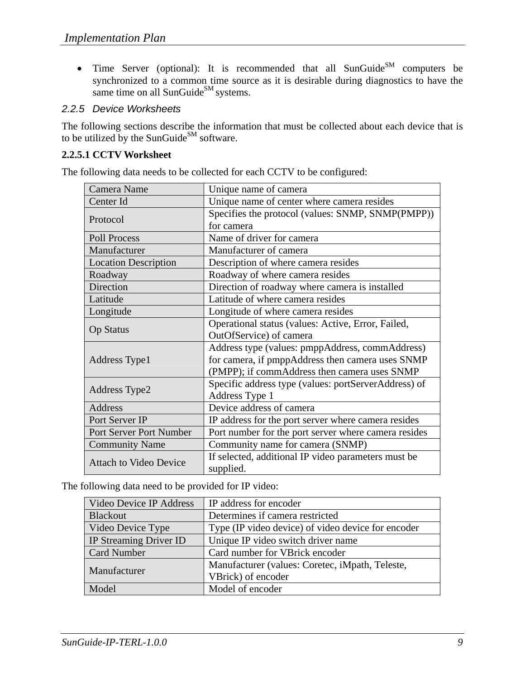• Time Server (optional): It is recommended that all SunGuide<sup>SM</sup> computers be synchronized to a common time source as it is desirable during diagnostics to have the same time on all SunGuide<sup>SM</sup> systems.

## *2.2.5 Device Worksheets*

The following sections describe the information that must be collected about each device that is to be utilized by the SunGuide<sup>SM</sup> software.

# **2.2.5.1 CCTV Worksheet**

The following data needs to be collected for each CCTV to be configured:

| Camera Name                   | Unique name of camera                                            |
|-------------------------------|------------------------------------------------------------------|
| Center Id                     | Unique name of center where camera resides                       |
|                               | Specifies the protocol (values: SNMP, SNMP(PMPP))                |
| Protocol                      | for camera                                                       |
| <b>Poll Process</b>           | Name of driver for camera                                        |
| Manufacturer                  | Manufacturer of camera                                           |
| <b>Location Description</b>   | Description of where camera resides                              |
| Roadway                       | Roadway of where camera resides                                  |
| Direction                     | Direction of roadway where camera is installed                   |
| Latitude                      | Latitude of where camera resides                                 |
| Longitude                     | Longitude of where camera resides                                |
|                               | Operational status (values: Active, Error, Failed,               |
| <b>Op Status</b>              | OutOfService) of camera                                          |
|                               | Address type (values: pmppAddress, commAddress)                  |
| Address Type 1                | for camera, if pmppAddress then camera uses SNMP                 |
|                               | (PMPP); if commAddress then camera uses SNMP                     |
|                               | Specific address type (values: portServerAddress) of             |
| Address Type2                 | Address Type 1                                                   |
| Address                       | Device address of camera                                         |
| Port Server IP                | IP address for the port server where camera resides              |
| Port Server Port Number       | Port number for the port server where camera resides             |
| <b>Community Name</b>         | Community name for camera (SNMP)                                 |
| <b>Attach to Video Device</b> | If selected, additional IP video parameters must be<br>supplied. |

The following data need to be provided for IP video:

| Video Device IP Address                                             | IP address for encoder                             |
|---------------------------------------------------------------------|----------------------------------------------------|
| <b>Blackout</b>                                                     | Determines if camera restricted                    |
| Video Device Type                                                   | Type (IP video device) of video device for encoder |
| <b>IP Streaming Driver ID</b><br>Unique IP video switch driver name |                                                    |
| <b>Card Number</b>                                                  | Card number for VBrick encoder                     |
| Manufacturer                                                        | Manufacturer (values: Coretec, iMpath, Teleste,    |
|                                                                     | VBrick) of encoder                                 |
| Model                                                               | Model of encoder                                   |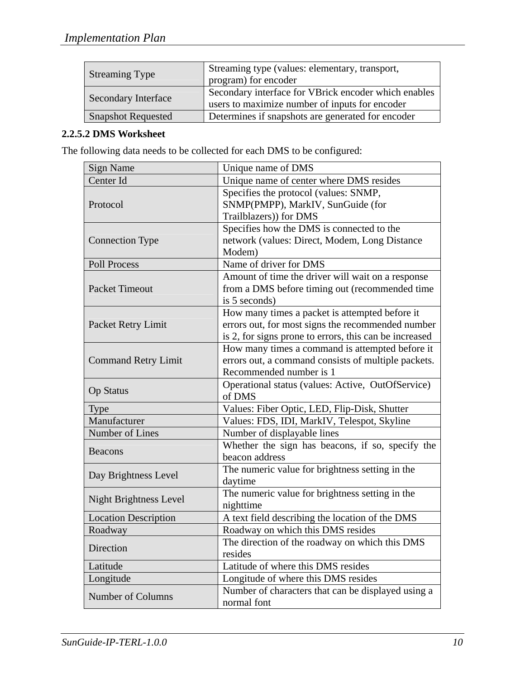| <b>Streaming Type</b>      | Streaming type (values: elementary, transport,<br>program) for encoder                                 |
|----------------------------|--------------------------------------------------------------------------------------------------------|
| <b>Secondary Interface</b> | Secondary interface for VBrick encoder which enables<br>users to maximize number of inputs for encoder |
| <b>Snapshot Requested</b>  | Determines if snapshots are generated for encoder                                                      |

### **2.2.5.2 DMS Worksheet**

The following data needs to be collected for each DMS to be configured:

| <b>Sign Name</b>              | Unique name of DMS                                     |
|-------------------------------|--------------------------------------------------------|
| Center Id                     | Unique name of center where DMS resides                |
|                               | Specifies the protocol (values: SNMP,                  |
| Protocol                      | SNMP(PMPP), MarkIV, SunGuide (for                      |
|                               | Trailblazers)) for DMS                                 |
|                               | Specifies how the DMS is connected to the              |
| <b>Connection Type</b>        | network (values: Direct, Modem, Long Distance          |
|                               | Modem)                                                 |
| <b>Poll Process</b>           | Name of driver for DMS                                 |
|                               | Amount of time the driver will wait on a response      |
| <b>Packet Timeout</b>         | from a DMS before timing out (recommended time         |
|                               | is 5 seconds)                                          |
|                               | How many times a packet is attempted before it         |
| Packet Retry Limit            | errors out, for most signs the recommended number      |
|                               | is 2, for signs prone to errors, this can be increased |
|                               | How many times a command is attempted before it        |
| <b>Command Retry Limit</b>    | errors out, a command consists of multiple packets.    |
|                               | Recommended number is 1                                |
| <b>Op Status</b>              | Operational status (values: Active, OutOfService)      |
|                               | of DMS                                                 |
| <b>Type</b>                   | Values: Fiber Optic, LED, Flip-Disk, Shutter           |
| Manufacturer                  | Values: FDS, IDI, MarkIV, Telespot, Skyline            |
| Number of Lines               | Number of displayable lines                            |
| <b>Beacons</b>                | Whether the sign has beacons, if so, specify the       |
|                               | beacon address                                         |
| Day Brightness Level          | The numeric value for brightness setting in the        |
|                               | daytime                                                |
| <b>Night Brightness Level</b> | The numeric value for brightness setting in the        |
|                               | nighttime                                              |
| <b>Location Description</b>   | A text field describing the location of the DMS        |
| Roadway                       | Roadway on which this DMS resides                      |
| Direction                     | The direction of the roadway on which this DMS         |
|                               | resides                                                |
| Latitude                      | Latitude of where this DMS resides                     |
| Longitude                     | Longitude of where this DMS resides                    |
| Number of Columns             | Number of characters that can be displayed using a     |
|                               | normal font                                            |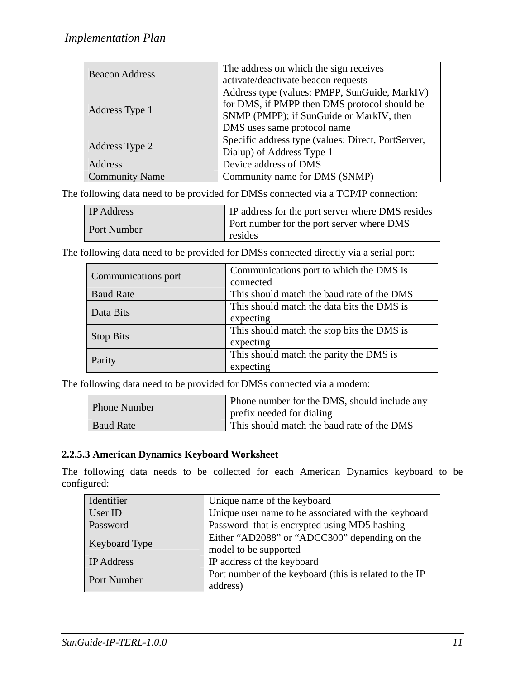| <b>Beacon Address</b> | The address on which the sign receives             |
|-----------------------|----------------------------------------------------|
|                       | activate/deactivate beacon requests                |
|                       | Address type (values: PMPP, SunGuide, MarkIV)      |
|                       | for DMS, if PMPP then DMS protocol should be       |
| Address Type 1        | SNMP (PMPP); if SunGuide or MarkIV, then           |
|                       | DMS uses same protocol name                        |
| Address Type 2        | Specific address type (values: Direct, PortServer, |
|                       | Dialup) of Address Type 1                          |
| Address               | Device address of DMS                              |
| <b>Community Name</b> | Community name for DMS (SNMP)                      |

The following data need to be provided for DMSs connected via a TCP/IP connection:

| <b>IP</b> Address | IP address for the port server where DMS resides            |
|-------------------|-------------------------------------------------------------|
| Port Number       | <b>Port number for the port server where DMS</b><br>resides |

The following data need to be provided for DMSs connected directly via a serial port:

| Communications port | Communications port to which the DMS is    |
|---------------------|--------------------------------------------|
|                     | connected                                  |
| <b>Baud Rate</b>    | This should match the baud rate of the DMS |
| Data Bits           | This should match the data bits the DMS is |
|                     | expecting                                  |
| <b>Stop Bits</b>    | This should match the stop bits the DMS is |
|                     | expecting                                  |
| Parity              | This should match the parity the DMS is    |
|                     | expecting                                  |

The following data need to be provided for DMSs connected via a modem:

| Phone Number     | Phone number for the DMS, should include any<br>prefix needed for dialing |
|------------------|---------------------------------------------------------------------------|
| <b>Baud Rate</b> | This should match the baud rate of the DMS                                |

#### **2.2.5.3 American Dynamics Keyboard Worksheet**

The following data needs to be collected for each American Dynamics keyboard to be configured:

| Identifier           | Unique name of the keyboard                            |
|----------------------|--------------------------------------------------------|
| User ID              | Unique user name to be associated with the keyboard    |
| Password             | Password that is encrypted using MD5 hashing           |
| <b>Keyboard Type</b> | Either "AD2088" or "ADCC300" depending on the          |
|                      | model to be supported                                  |
| <b>IP</b> Address    | IP address of the keyboard                             |
| Port Number          | Port number of the keyboard (this is related to the IP |
|                      | address)                                               |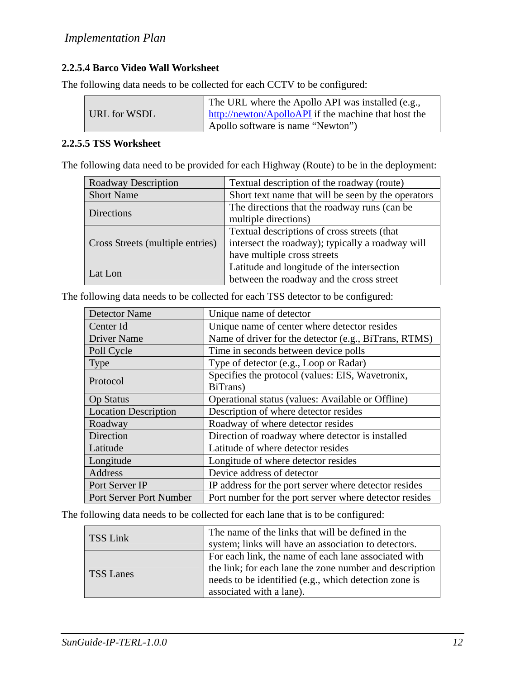# **2.2.5.4 Barco Video Wall Worksheet**

The following data needs to be collected for each CCTV to be configured:

|              | The URL where the Apollo API was installed (e.g.,    |
|--------------|------------------------------------------------------|
| URL for WSDL | http://newton/ApolloAPI if the machine that host the |
|              | Apollo software is name "Newton")                    |

#### **2.2.5.5 TSS Worksheet**

The following data need to be provided for each Highway (Route) to be in the deployment:

| Roadway Description              | Textual description of the roadway (route)         |
|----------------------------------|----------------------------------------------------|
| <b>Short Name</b>                | Short text name that will be seen by the operators |
| Directions                       | The directions that the roadway runs (can be       |
|                                  | multiple directions)                               |
| Cross Streets (multiple entries) | Textual descriptions of cross streets (that        |
|                                  | intersect the roadway); typically a roadway will   |
|                                  | have multiple cross streets                        |
| Lat Lon                          | Latitude and longitude of the intersection         |
|                                  | between the roadway and the cross street           |

| <b>Detector Name</b>        | Unique name of detector                                      |
|-----------------------------|--------------------------------------------------------------|
| Center Id                   | Unique name of center where detector resides                 |
| <b>Driver Name</b>          | Name of driver for the detector (e.g., BiTrans, RTMS)        |
| Poll Cycle                  | Time in seconds between device polls                         |
| <b>Type</b>                 | Type of detector (e.g., Loop or Radar)                       |
| Protocol                    | Specifies the protocol (values: EIS, Wavetronix,<br>BiTrans) |
| <b>Op Status</b>            | Operational status (values: Available or Offline)            |
| <b>Location Description</b> | Description of where detector resides                        |
| Roadway                     | Roadway of where detector resides                            |
| Direction                   | Direction of roadway where detector is installed             |
| Latitude                    | Latitude of where detector resides                           |
| Longitude                   | Longitude of where detector resides                          |
| <b>Address</b>              | Device address of detector                                   |
| Port Server IP              | IP address for the port server where detector resides        |
| Port Server Port Number     | Port number for the port server where detector resides       |

The following data needs to be collected for each TSS detector to be configured:

The following data needs to be collected for each lane that is to be configured:

| TSS Link         | The name of the links that will be defined in the       |
|------------------|---------------------------------------------------------|
|                  | system; links will have an association to detectors.    |
| <b>TSS Lanes</b> | For each link, the name of each lane associated with    |
|                  | the link; for each lane the zone number and description |
|                  | needs to be identified (e.g., which detection zone is   |
|                  | associated with a lane).                                |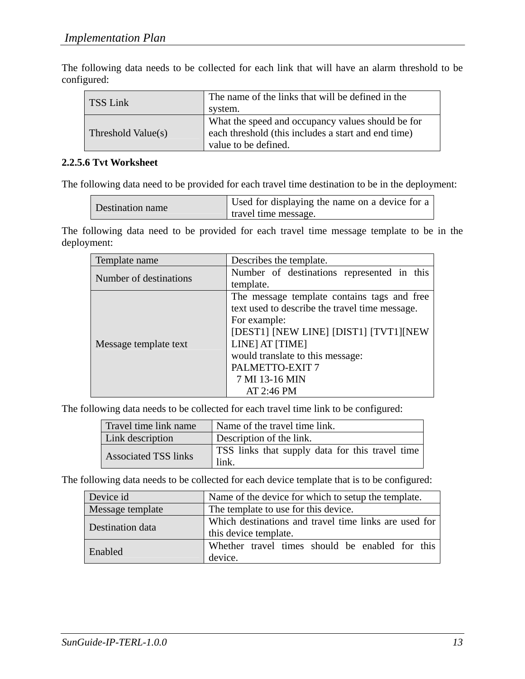The following data needs to be collected for each link that will have an alarm threshold to be configured:

| <b>TSS Link</b>    | The name of the links that will be defined in the<br>system.                                                                     |
|--------------------|----------------------------------------------------------------------------------------------------------------------------------|
| Threshold Value(s) | What the speed and occupancy values should be for<br>each threshold (this includes a start and end time)<br>value to be defined. |

#### **2.2.5.6 Tvt Worksheet**

The following data need to be provided for each travel time destination to be in the deployment:

| Used for displaying the name on a device for a<br>Destination name<br>travel time message. |
|--------------------------------------------------------------------------------------------|
|--------------------------------------------------------------------------------------------|

The following data need to be provided for each travel time message template to be in the deployment:

| Template name          | Describes the template.                        |
|------------------------|------------------------------------------------|
| Number of destinations | Number of destinations represented in this     |
|                        | template.                                      |
|                        | The message template contains tags and free    |
|                        | text used to describe the travel time message. |
|                        | For example:                                   |
|                        | [DEST1] [NEW LINE] [DIST1] [TVT1][NEW          |
| Message template text  | LINE] AT [TIME]                                |
|                        | would translate to this message:               |
|                        | PALMETTO-EXIT 7                                |
|                        | 7 MI 13-16 MIN                                 |
|                        | AT 2:46 PM                                     |

The following data needs to be collected for each travel time link to be configured:

| Travel time link name       | Name of the travel time link.                           |
|-----------------------------|---------------------------------------------------------|
| Link description            | Description of the link.                                |
| <b>Associated TSS links</b> | TSS links that supply data for this travel time<br>link |

The following data needs to be collected for each device template that is to be configured:

| Device id        | Name of the device for which to setup the template.                            |
|------------------|--------------------------------------------------------------------------------|
| Message template | The template to use for this device.                                           |
| Destination data | Which destinations and travel time links are used for<br>this device template. |
| Enabled          | Whether travel times should be enabled for this<br>device.                     |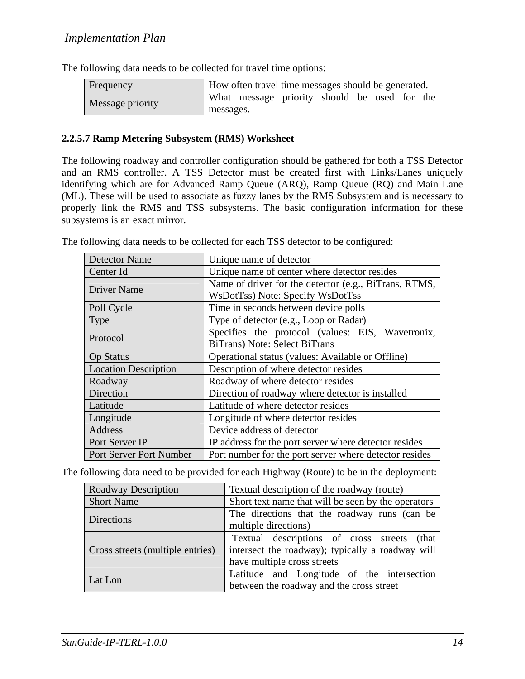| Frequency        |           | How often travel time messages should be generated. |  |  |  |
|------------------|-----------|-----------------------------------------------------|--|--|--|
| Message priority |           | What message priority should be used for the        |  |  |  |
|                  | messages. |                                                     |  |  |  |

The following data needs to be collected for travel time options:

#### **2.2.5.7 Ramp Metering Subsystem (RMS) Worksheet**

The following roadway and controller configuration should be gathered for both a TSS Detector and an RMS controller. A TSS Detector must be created first with Links/Lanes uniquely identifying which are for Advanced Ramp Queue (ARQ), Ramp Queue (RQ) and Main Lane (ML). These will be used to associate as fuzzy lanes by the RMS Subsystem and is necessary to properly link the RMS and TSS subsystems. The basic configuration information for these subsystems is an exact mirror.

| <b>Detector Name</b>        | Unique name of detector                                |
|-----------------------------|--------------------------------------------------------|
| Center Id                   | Unique name of center where detector resides           |
| <b>Driver Name</b>          | Name of driver for the detector (e.g., BiTrans, RTMS,  |
|                             | WsDotTss) Note: Specify WsDotTss                       |
| Poll Cycle                  | Time in seconds between device polls                   |
| Type                        | Type of detector (e.g., Loop or Radar)                 |
| Protocol                    | Specifies the protocol (values: EIS, Wavetronix,       |
|                             | BiTrans) Note: Select BiTrans                          |
| <b>Op Status</b>            | Operational status (values: Available or Offline)      |
| <b>Location Description</b> | Description of where detector resides                  |
| Roadway                     | Roadway of where detector resides                      |
| Direction                   | Direction of roadway where detector is installed       |
| Latitude                    | Latitude of where detector resides                     |
| Longitude                   | Longitude of where detector resides                    |
| Address                     | Device address of detector                             |
| Port Server IP              | IP address for the port server where detector resides  |
| Port Server Port Number     | Port number for the port server where detector resides |

The following data needs to be collected for each TSS detector to be configured:

The following data need to be provided for each Highway (Route) to be in the deployment:

| <b>Roadway Description</b>       | Textual description of the roadway (route)         |  |  |  |
|----------------------------------|----------------------------------------------------|--|--|--|
| <b>Short Name</b>                | Short text name that will be seen by the operators |  |  |  |
| <b>Directions</b>                | The directions that the roadway runs (can be       |  |  |  |
|                                  | multiple directions)                               |  |  |  |
|                                  | Textual descriptions of cross streets (that        |  |  |  |
| Cross streets (multiple entries) | intersect the roadway); typically a roadway will   |  |  |  |
|                                  | have multiple cross streets                        |  |  |  |
|                                  | Latitude and Longitude of the intersection         |  |  |  |
| Lat Lon                          | between the roadway and the cross street           |  |  |  |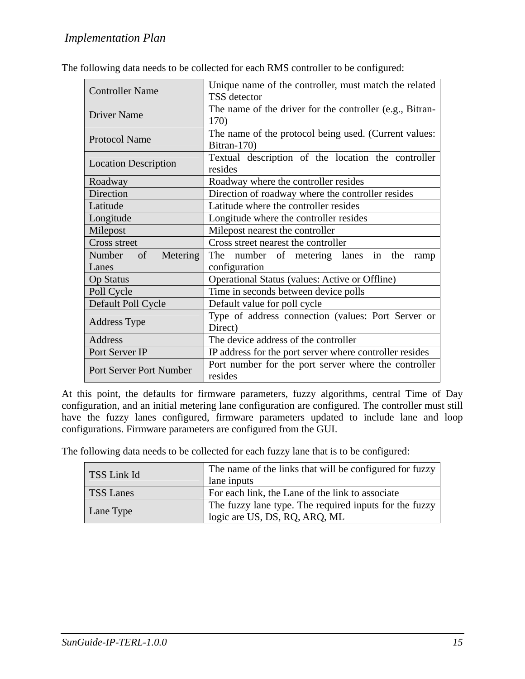| <b>Controller Name</b>         | Unique name of the controller, must match the related    |
|--------------------------------|----------------------------------------------------------|
|                                | TSS detector                                             |
| <b>Driver Name</b>             | The name of the driver for the controller (e.g., Bitran- |
|                                | 170)                                                     |
|                                | The name of the protocol being used. (Current values:    |
| <b>Protocol Name</b>           | Bitran-170)                                              |
|                                | Textual description of the location the controller       |
| <b>Location Description</b>    | resides                                                  |
| Roadway                        | Roadway where the controller resides                     |
| Direction                      | Direction of roadway where the controller resides        |
| Latitude                       | Latitude where the controller resides                    |
| Longitude                      | Longitude where the controller resides                   |
| Milepost                       | Milepost nearest the controller                          |
| Cross street                   | Cross street nearest the controller                      |
| Metering<br>Number of          | The number of metering lanes in the<br>ramp              |
| Lanes                          | configuration                                            |
| <b>Op Status</b>               | Operational Status (values: Active or Offline)           |
| Poll Cycle                     | Time in seconds between device polls                     |
| Default Poll Cycle             | Default value for poll cycle                             |
|                                | Type of address connection (values: Port Server or       |
| <b>Address Type</b>            | Direct)                                                  |
| <b>Address</b>                 | The device address of the controller                     |
| Port Server IP                 | IP address for the port server where controller resides  |
| <b>Port Server Port Number</b> | Port number for the port server where the controller     |
|                                | resides                                                  |

The following data needs to be collected for each RMS controller to be configured:

At this point, the defaults for firmware parameters, fuzzy algorithms, central Time of Day configuration, and an initial metering lane configuration are configured. The controller must still have the fuzzy lanes configured, firmware parameters updated to include lane and loop configurations. Firmware parameters are configured from the GUI.

The following data needs to be collected for each fuzzy lane that is to be configured:

| TSS Link Id      | The name of the links that will be configured for fuzzy<br>lane inputs                  |
|------------------|-----------------------------------------------------------------------------------------|
| <b>TSS Lanes</b> | For each link, the Lane of the link to associate                                        |
| Lane Type        | The fuzzy lane type. The required inputs for the fuzzy<br>logic are US, DS, RQ, ARQ, ML |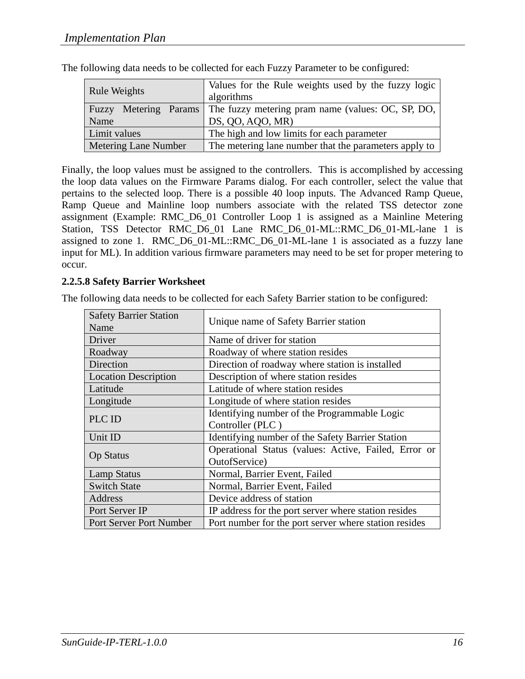| <b>Rule Weights</b>         | Values for the Rule weights used by the fuzzy logic<br>algorithms       |
|-----------------------------|-------------------------------------------------------------------------|
|                             | Fuzzy Metering Params The fuzzy metering pram name (values: OC, SP, DO, |
| Name                        | DS, QO, AQO, MR)                                                        |
| Limit values                | The high and low limits for each parameter                              |
| <b>Metering Lane Number</b> | The metering lane number that the parameters apply to                   |

The following data needs to be collected for each Fuzzy Parameter to be configured:

Finally, the loop values must be assigned to the controllers. This is accomplished by accessing the loop data values on the Firmware Params dialog. For each controller, select the value that pertains to the selected loop. There is a possible 40 loop inputs. The Advanced Ramp Queue, Ramp Queue and Mainline loop numbers associate with the related TSS detector zone assignment (Example: RMC\_D6\_01 Controller Loop 1 is assigned as a Mainline Metering Station, TSS Detector RMC\_D6\_01 Lane RMC\_D6\_01-ML::RMC\_D6\_01-ML-lane 1 is assigned to zone 1. RMC\_D6\_01-ML::RMC\_D6\_01-ML-lane 1 is associated as a fuzzy lane input for ML). In addition various firmware parameters may need to be set for proper metering to occur.

#### **2.2.5.8 Safety Barrier Worksheet**

The following data needs to be collected for each Safety Barrier station to be configured:

| <b>Safety Barrier Station</b><br>Name | Unique name of Safety Barrier station                 |
|---------------------------------------|-------------------------------------------------------|
| Driver                                | Name of driver for station                            |
| Roadway                               | Roadway of where station resides                      |
| Direction                             | Direction of roadway where station is installed       |
| <b>Location Description</b>           | Description of where station resides                  |
| Latitude                              | Latitude of where station resides                     |
| Longitude                             | Longitude of where station resides                    |
|                                       | Identifying number of the Programmable Logic          |
| PLC ID                                | Controller (PLC)                                      |
| Unit ID                               | Identifying number of the Safety Barrier Station      |
| <b>Op Status</b>                      | Operational Status (values: Active, Failed, Error or  |
|                                       | OutofService)                                         |
| <b>Lamp Status</b>                    | Normal, Barrier Event, Failed                         |
| <b>Switch State</b>                   | Normal, Barrier Event, Failed                         |
| Address                               | Device address of station                             |
| Port Server IP                        | IP address for the port server where station resides  |
| Port Server Port Number               | Port number for the port server where station resides |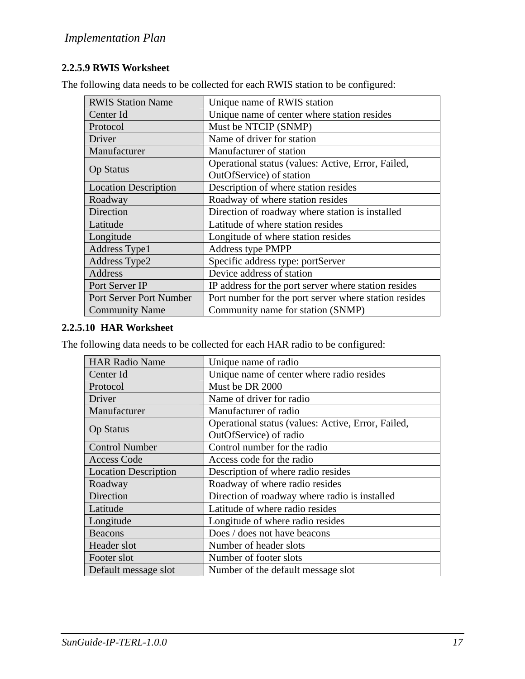# **2.2.5.9 RWIS Worksheet**

The following data needs to be collected for each RWIS station to be configured:

| <b>RWIS Station Name</b>    | Unique name of RWIS station                           |
|-----------------------------|-------------------------------------------------------|
| Center Id                   | Unique name of center where station resides           |
| Protocol                    | Must be NTCIP (SNMP)                                  |
| Driver                      | Name of driver for station                            |
| Manufacturer                | Manufacturer of station                               |
|                             | Operational status (values: Active, Error, Failed,    |
| <b>Op Status</b>            | OutOfService) of station                              |
| <b>Location Description</b> | Description of where station resides                  |
| Roadway                     | Roadway of where station resides                      |
| Direction                   | Direction of roadway where station is installed       |
| Latitude                    | Latitude of where station resides                     |
| Longitude                   | Longitude of where station resides                    |
| Address Type1               | Address type PMPP                                     |
| <b>Address Type2</b>        | Specific address type: portServer                     |
| Address                     | Device address of station                             |
| Port Server IP              | IP address for the port server where station resides  |
| Port Server Port Number     | Port number for the port server where station resides |
| <b>Community Name</b>       | Community name for station (SNMP)                     |

#### **2.2.5.10 HAR Worksheet**

The following data needs to be collected for each HAR radio to be configured:

| <b>HAR Radio Name</b>       | Unique name of radio                               |
|-----------------------------|----------------------------------------------------|
| Center Id                   | Unique name of center where radio resides          |
| Protocol                    | Must be DR 2000                                    |
| Driver                      | Name of driver for radio                           |
| Manufacturer                | Manufacturer of radio                              |
|                             | Operational status (values: Active, Error, Failed, |
| <b>Op Status</b>            | OutOfService) of radio                             |
| <b>Control Number</b>       | Control number for the radio                       |
| <b>Access Code</b>          | Access code for the radio                          |
|                             |                                                    |
| <b>Location Description</b> | Description of where radio resides                 |
| Roadway                     | Roadway of where radio resides                     |
| Direction                   | Direction of roadway where radio is installed      |
| Latitude                    | Latitude of where radio resides                    |
| Longitude                   | Longitude of where radio resides                   |
| <b>Beacons</b>              | Does / does not have beacons                       |
| Header slot                 | Number of header slots                             |
| Footer slot                 | Number of footer slots                             |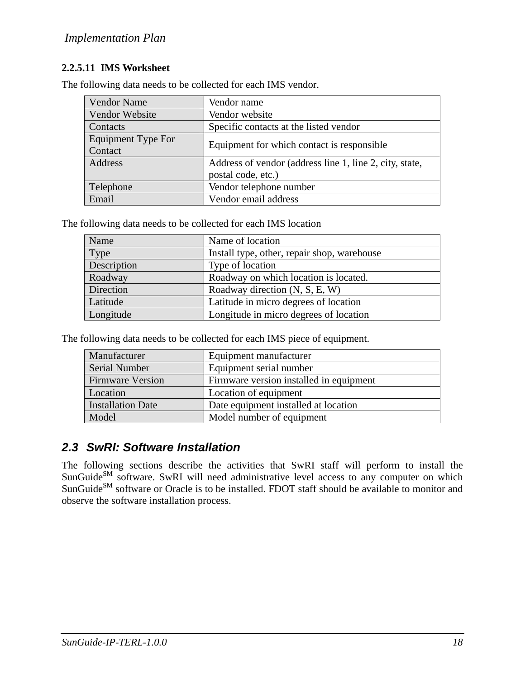### **2.2.5.11 IMS Worksheet**

The following data needs to be collected for each IMS vendor.

| <b>Vendor Name</b>            | Vendor name                                             |
|-------------------------------|---------------------------------------------------------|
| Vendor Website                | Vendor website                                          |
| Contacts                      | Specific contacts at the listed vendor                  |
| Equipment Type For<br>Contact | Equipment for which contact is responsible.             |
| Address                       | Address of vendor (address line 1, line 2, city, state, |
|                               | postal code, etc.)                                      |
| Telephone                     | Vendor telephone number                                 |
| Email                         | Vendor email address                                    |

The following data needs to be collected for each IMS location

| Name        | Name of location                            |
|-------------|---------------------------------------------|
| Type        | Install type, other, repair shop, warehouse |
| Description | Type of location                            |
| Roadway     | Roadway on which location is located.       |
| Direction   | Roadway direction (N, S, E, W)              |
| Latitude    | Latitude in micro degrees of location       |
| Longitude   | Longitude in micro degrees of location      |

The following data needs to be collected for each IMS piece of equipment.

| Manufacturer            | Equipment manufacturer                  |
|-------------------------|-----------------------------------------|
| Serial Number           | Equipment serial number                 |
| <b>Firmware Version</b> | Firmware version installed in equipment |
| <b>Location</b>         | Location of equipment                   |
| Installation Date       | Date equipment installed at location    |
| Model                   | Model number of equipment               |

# *2.3 SwRI: Software Installation*

The following sections describe the activities that SwRI staff will perform to install the SunGuide<sup>SM</sup> software. SwRI will need administrative level access to any computer on which SunGuide<sup>SM</sup> software or Oracle is to be installed. FDOT staff should be available to monitor and observe the software installation process.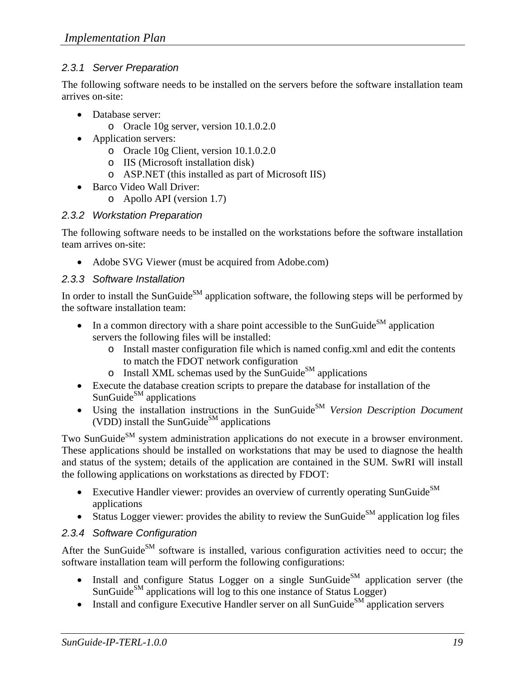# *2.3.1 Server Preparation*

The following software needs to be installed on the servers before the software installation team arrives on-site:

- Database server:
	- o Oracle 10g server, version 10.1.0.2.0
- Application servers:
	- o Oracle 10g Client, version 10.1.0.2.0
	- o IIS (Microsoft installation disk)
	- o ASP.NET (this installed as part of Microsoft IIS)
- Barco Video Wall Driver:
	- o Apollo API (version 1.7)

## *2.3.2 Workstation Preparation*

The following software needs to be installed on the workstations before the software installation team arrives on-site:

• Adobe SVG Viewer (must be acquired from Adobe.com)

## *2.3.3 Software Installation*

In order to install the SunGuide<sup>SM</sup> application software, the following steps will be performed by the software installation team:

- In a common directory with a share point accessible to the SunGuide<sup>SM</sup> application servers the following files will be installed:
	- o Install master configuration file which is named config.xml and edit the contents to match the FDOT network configuration
	- $\circ$  Install XML schemas used by the SunGuide<sup>SM</sup> applications
- Execute the database creation scripts to prepare the database for installation of the  $SunGuide<sup>SM</sup> applications$
- Using the installation instructions in the SunGuide<sup>SM</sup> *Version Description Document* (VDD) install the SunGuide<sup>SM</sup> applications

Two SunGuide<sup>SM</sup> system administration applications do not execute in a browser environment. These applications should be installed on workstations that may be used to diagnose the health and status of the system; details of the application are contained in the SUM. SwRI will install the following applications on workstations as directed by FDOT:

- Executive Handler viewer: provides an overview of currently operating SunGuide $^{SM}$ applications
- Status Logger viewer: provides the ability to review the SunGuide<sup>SM</sup> application log files

# *2.3.4 Software Configuration*

After the SunGuide<sup>SM</sup> software is installed, various configuration activities need to occur; the software installation team will perform the following configurations:

- Install and configure Status Logger on a single SunGuide<sup>SM</sup> application server (the  $SunGuide<sup>SM</sup> applications will log to this one instance of Status Logger)$
- Install and configure Executive Handler server on all SunGuide<sup>SM</sup> application servers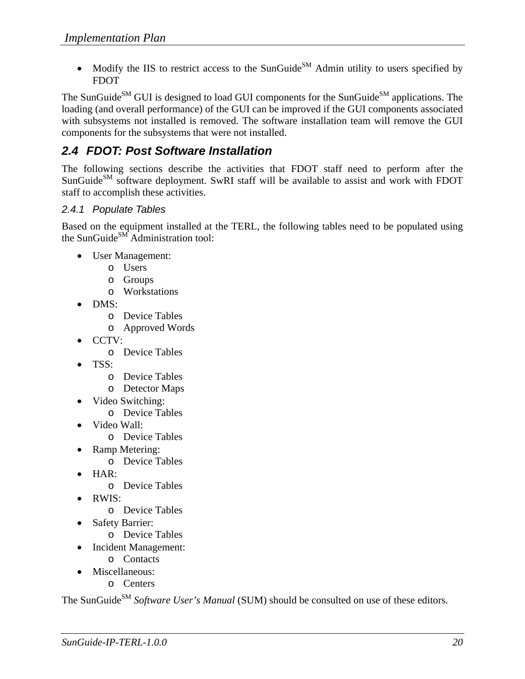• Modify the IIS to restrict access to the SunGuide<sup>SM</sup> Admin utility to users specified by FDOT

The SunGuide<sup>SM</sup> GUI is designed to load GUI components for the SunGuide<sup>SM</sup> applications. The loading (and overall performance) of the GUI can be improved if the GUI components associated with subsystems not installed is removed. The software installation team will remove the GUI components for the subsystems that were not installed.

# *2.4 FDOT: Post Software Installation*

The following sections describe the activities that FDOT staff need to perform after the SunGuide<sup>SM</sup> software deployment. SwRI staff will be available to assist and work with FDOT staff to accomplish these activities.

## *2.4.1 Populate Tables*

Based on the equipment installed at the TERL, the following tables need to be populated using the SunGuide<sup>SM</sup> Administration tool:

- User Management:
	- o Users
	- o Groups
	- o Workstations
- DMS:
	- o Device Tables
	- o Approved Words
- CCTV:
	- o Device Tables
- TSS:
	- o Device Tables
	- o Detector Maps
- Video Switching:
	- o Device Tables
- Video Wall:
	- o Device Tables
	- Ramp Metering:
		- o Device Tables
- HAR:
	- o Device Tables
- RWIS:
	- o Device Tables
- **Safety Barrier:** 
	- o Device Tables
- Incident Management:
	- o Contacts
- Miscellaneous:
	- o Centers

The SunGuide<sup>SM</sup> *Software User's Manual* (SUM) should be consulted on use of these editors.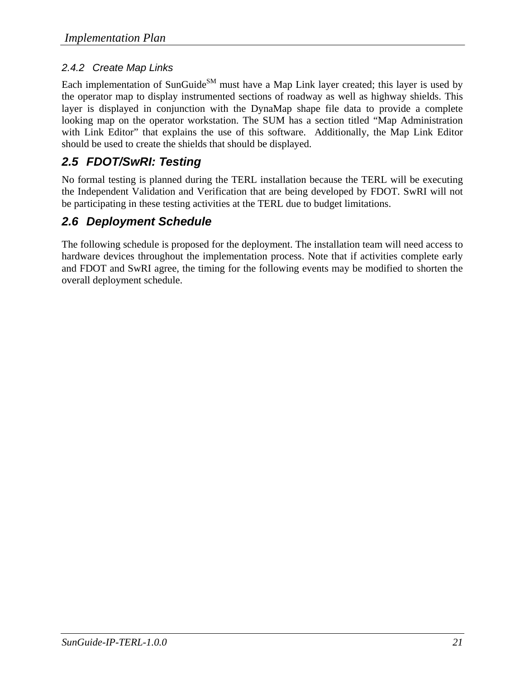# *2.4.2 Create Map Links*

Each implementation of SunGuide<sup>SM</sup> must have a Map Link layer created; this layer is used by the operator map to display instrumented sections of roadway as well as highway shields. This layer is displayed in conjunction with the DynaMap shape file data to provide a complete looking map on the operator workstation. The SUM has a section titled "Map Administration with Link Editor" that explains the use of this software. Additionally, the Map Link Editor should be used to create the shields that should be displayed.

# *2.5 FDOT/SwRI: Testing*

No formal testing is planned during the TERL installation because the TERL will be executing the Independent Validation and Verification that are being developed by FDOT. SwRI will not be participating in these testing activities at the TERL due to budget limitations.

# *2.6 Deployment Schedule*

The following schedule is proposed for the deployment. The installation team will need access to hardware devices throughout the implementation process. Note that if activities complete early and FDOT and SwRI agree, the timing for the following events may be modified to shorten the overall deployment schedule.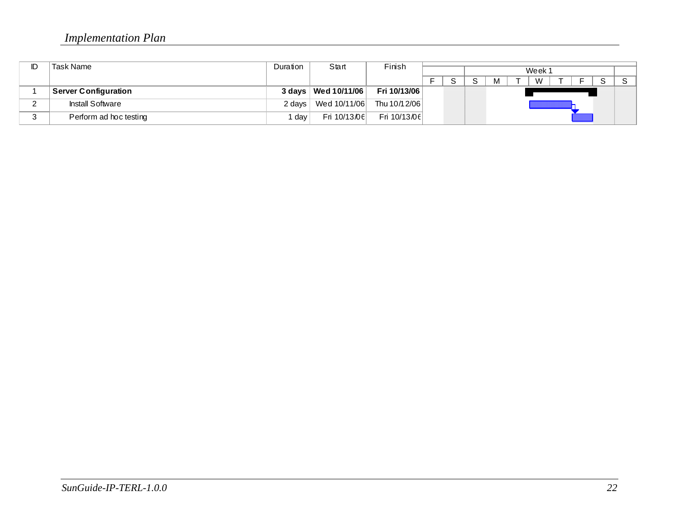# *Implementation Plan*

| ID | Task Name               | Duration | Start                 | Finish         |  |  |        |  |  |   |  |  |  |              |
|----|-------------------------|----------|-----------------------|----------------|--|--|--------|--|--|---|--|--|--|--------------|
|    |                         |          |                       |                |  |  | Week 1 |  |  |   |  |  |  |              |
|    |                         |          |                       |                |  |  |        |  |  | W |  |  |  | $\mathbf{C}$ |
|    | Server Configuration    |          | 3 days   Wed 10/11/06 | Fri 10/13/06   |  |  |        |  |  |   |  |  |  |              |
|    | <b>Install Software</b> |          | 2 days   Wed 10/11/06 | Thu 10/1 2/06  |  |  |        |  |  |   |  |  |  |              |
|    | Perform ad hoc testing  | day      | Fri $10/13/06$        | Fri $10/13/06$ |  |  |        |  |  |   |  |  |  |              |